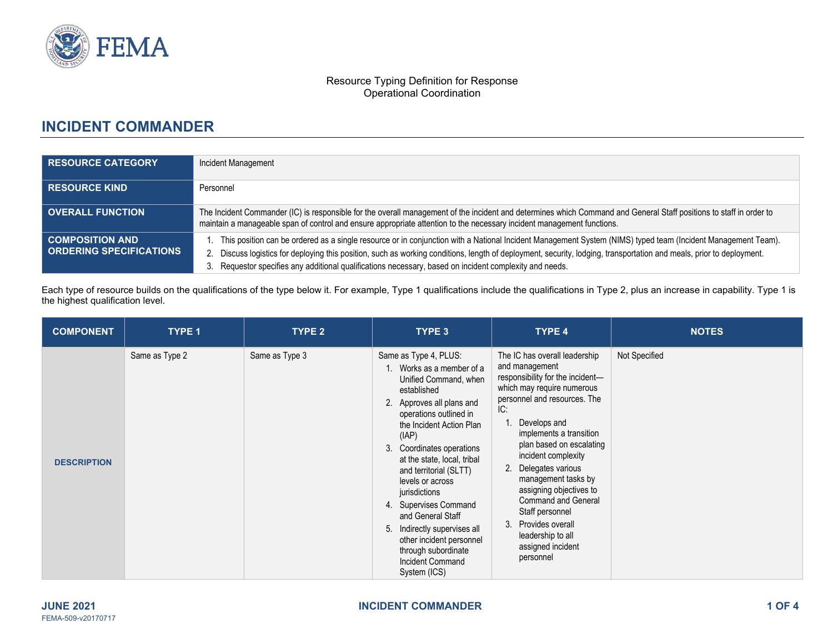

#### Resource Typing Definition for Response Operational Coordination

# **INCIDENT COMMANDER**

| <b>RESOURCE CATEGORY</b>                                 | Incident Management                                                                                                                                                                                                                                                                                                                                                                                                                        |
|----------------------------------------------------------|--------------------------------------------------------------------------------------------------------------------------------------------------------------------------------------------------------------------------------------------------------------------------------------------------------------------------------------------------------------------------------------------------------------------------------------------|
| <b>RESOURCE KIND</b>                                     | Personnel                                                                                                                                                                                                                                                                                                                                                                                                                                  |
| <b>OVERALL FUNCTION</b>                                  | The Incident Commander (IC) is responsible for the overall management of the incident and determines which Command and General Staff positions to staff in order to<br>maintain a manageable span of control and ensure appropriate attention to the necessary incident management functions.                                                                                                                                              |
| <b>COMPOSITION AND</b><br><b>ORDERING SPECIFICATIONS</b> | This position can be ordered as a single resource or in conjunction with a National Incident Management System (NIMS) typed team (Incident Management Team).<br>Discuss logistics for deploying this position, such as working conditions, length of deployment, security, lodging, transportation and meals, prior to deployment.<br>Requestor specifies any additional qualifications necessary, based on incident complexity and needs. |

Each type of resource builds on the qualifications of the type below it. For example, Type 1 qualifications include the qualifications in Type 2, plus an increase in capability. Type 1 is the highest qualification level.

| <b>COMPONENT</b>   | <b>TYPE 1</b>  | TYPE 2         | TYPE 3                                                                                                                                                                                                                                                                                                                                                                                                                                                                                 | TYPE 4                                                                                                                                                                                                                                                                                                                                                                                                                                                             | <b>NOTES</b>  |
|--------------------|----------------|----------------|----------------------------------------------------------------------------------------------------------------------------------------------------------------------------------------------------------------------------------------------------------------------------------------------------------------------------------------------------------------------------------------------------------------------------------------------------------------------------------------|--------------------------------------------------------------------------------------------------------------------------------------------------------------------------------------------------------------------------------------------------------------------------------------------------------------------------------------------------------------------------------------------------------------------------------------------------------------------|---------------|
| <b>DESCRIPTION</b> | Same as Type 2 | Same as Type 3 | Same as Type 4, PLUS:<br>1. Works as a member of a<br>Unified Command, when<br>established<br>2. Approves all plans and<br>operations outlined in<br>the Incident Action Plan<br>(IAP)<br>3. Coordinates operations<br>at the state, local, tribal<br>and territorial (SLTT)<br>levels or across<br>jurisdictions<br>4. Supervises Command<br>and General Staff<br>5. Indirectly supervises all<br>other incident personnel<br>through subordinate<br>Incident Command<br>System (ICS) | The IC has overall leadership<br>and management<br>responsibility for the incident-<br>which may require numerous<br>personnel and resources. The<br>IC:<br>Develops and<br>implements a transition<br>plan based on escalating<br>incident complexity<br>2. Delegates various<br>management tasks by<br>assigning objectives to<br><b>Command and General</b><br>Staff personnel<br>Provides overall<br>3.<br>leadership to all<br>assigned incident<br>personnel | Not Specified |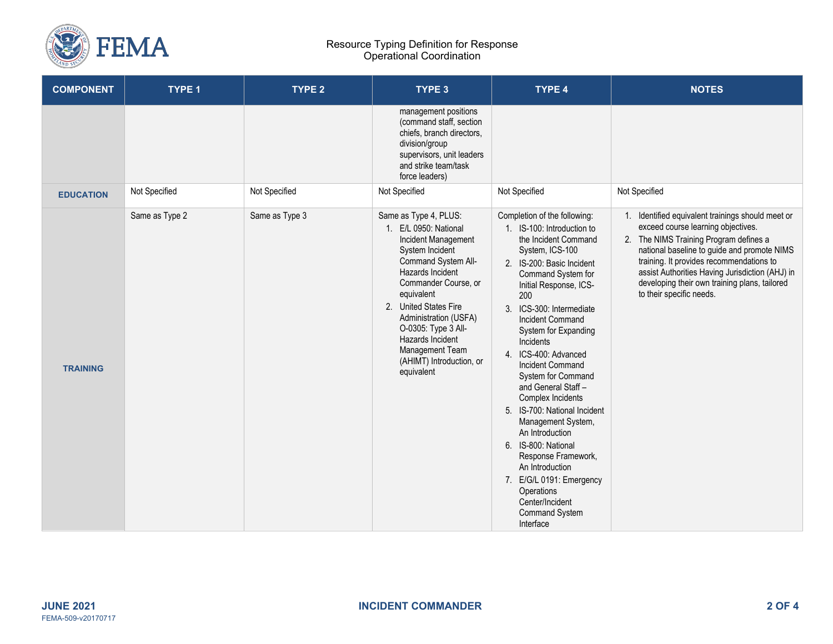

#### Resource Typing Definition for Response Operational Coordination

| <b>COMPONENT</b> | <b>TYPE 1</b>  | TYPE <sub>2</sub> | TYPE 3                                                                                                                                                                                                                                                                                                                              | TYPE 4                                                                                                                                                                                                                                                                                                                                                                                                                                                                                                                                                                                                                                                  | <b>NOTES</b>                                                                                                                                                                                                                                                                                                                                                 |
|------------------|----------------|-------------------|-------------------------------------------------------------------------------------------------------------------------------------------------------------------------------------------------------------------------------------------------------------------------------------------------------------------------------------|---------------------------------------------------------------------------------------------------------------------------------------------------------------------------------------------------------------------------------------------------------------------------------------------------------------------------------------------------------------------------------------------------------------------------------------------------------------------------------------------------------------------------------------------------------------------------------------------------------------------------------------------------------|--------------------------------------------------------------------------------------------------------------------------------------------------------------------------------------------------------------------------------------------------------------------------------------------------------------------------------------------------------------|
|                  |                |                   | management positions<br>(command staff, section<br>chiefs, branch directors,<br>division/group<br>supervisors, unit leaders<br>and strike team/task<br>force leaders)                                                                                                                                                               |                                                                                                                                                                                                                                                                                                                                                                                                                                                                                                                                                                                                                                                         |                                                                                                                                                                                                                                                                                                                                                              |
| <b>EDUCATION</b> | Not Specified  | Not Specified     | Not Specified                                                                                                                                                                                                                                                                                                                       | Not Specified                                                                                                                                                                                                                                                                                                                                                                                                                                                                                                                                                                                                                                           | Not Specified                                                                                                                                                                                                                                                                                                                                                |
| <b>TRAINING</b>  | Same as Type 2 | Same as Type 3    | Same as Type 4, PLUS:<br>1. E/L 0950: National<br>Incident Management<br>System Incident<br>Command System All-<br>Hazards Incident<br>Commander Course, or<br>equivalent<br>2. United States Fire<br>Administration (USFA)<br>O-0305: Type 3 All-<br>Hazards Incident<br>Management Team<br>(AHIMT) Introduction, or<br>equivalent | Completion of the following:<br>1. IS-100: Introduction to<br>the Incident Command<br>System, ICS-100<br>2. IS-200: Basic Incident<br>Command System for<br>Initial Response, ICS-<br>200<br>3. ICS-300: Intermediate<br><b>Incident Command</b><br>System for Expanding<br>Incidents<br>4. ICS-400: Advanced<br><b>Incident Command</b><br>System for Command<br>and General Staff -<br>Complex Incidents<br>5. IS-700: National Incident<br>Management System,<br>An Introduction<br>6. IS-800: National<br>Response Framework,<br>An Introduction<br>7. E/G/L 0191: Emergency<br>Operations<br>Center/Incident<br><b>Command System</b><br>Interface | 1. Identified equivalent trainings should meet or<br>exceed course learning objectives.<br>2. The NIMS Training Program defines a<br>national baseline to guide and promote NIMS<br>training. It provides recommendations to<br>assist Authorities Having Jurisdiction (AHJ) in<br>developing their own training plans, tailored<br>to their specific needs. |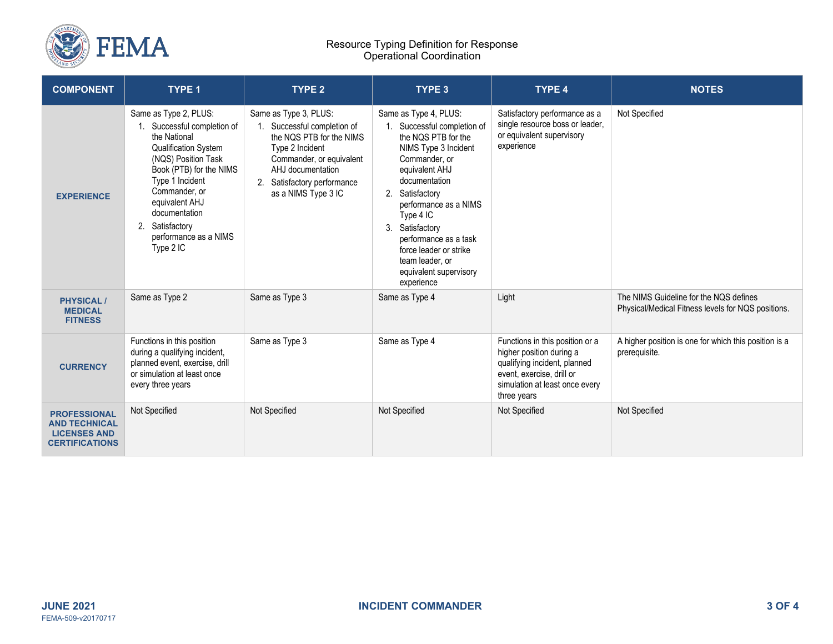

#### Resource Typing Definition for Response Operational Coordination

| <b>COMPONENT</b>                                                                            | <b>TYPE 1</b>                                                                                                                                                                                                                                                                  | <b>TYPE 2</b>                                                                                                                                                                                              | <b>TYPE 3</b>                                                                                                                                                                                                                                                                                                                                  | <b>TYPE 4</b>                                                                                                                                                             | <b>NOTES</b>                                                                                 |
|---------------------------------------------------------------------------------------------|--------------------------------------------------------------------------------------------------------------------------------------------------------------------------------------------------------------------------------------------------------------------------------|------------------------------------------------------------------------------------------------------------------------------------------------------------------------------------------------------------|------------------------------------------------------------------------------------------------------------------------------------------------------------------------------------------------------------------------------------------------------------------------------------------------------------------------------------------------|---------------------------------------------------------------------------------------------------------------------------------------------------------------------------|----------------------------------------------------------------------------------------------|
| <b>EXPERIENCE</b>                                                                           | Same as Type 2, PLUS:<br>1. Successful completion of<br>the National<br>Qualification System<br>(NQS) Position Task<br>Book (PTB) for the NIMS<br>Type 1 Incident<br>Commander, or<br>equivalent AHJ<br>documentation<br>2. Satisfactory<br>performance as a NIMS<br>Type 2 IC | Same as Type 3, PLUS:<br>1. Successful completion of<br>the NOS PTB for the NIMS<br>Type 2 Incident<br>Commander, or equivalent<br>AHJ documentation<br>2. Satisfactory performance<br>as a NIMS Type 3 IC | Same as Type 4, PLUS:<br>Successful completion of<br>the NQS PTB for the<br>NIMS Type 3 Incident<br>Commander, or<br>equivalent AHJ<br>documentation<br>2. Satisfactory<br>performance as a NIMS<br>Type 4 IC<br>3. Satisfactory<br>performance as a task<br>force leader or strike<br>team leader, or<br>equivalent supervisory<br>experience | Satisfactory performance as a<br>single resource boss or leader,<br>or equivalent supervisory<br>experience                                                               | Not Specified                                                                                |
| <b>PHYSICAL/</b><br><b>MEDICAL</b><br><b>FITNESS</b>                                        | Same as Type 2                                                                                                                                                                                                                                                                 | Same as Type 3                                                                                                                                                                                             | Same as Type 4                                                                                                                                                                                                                                                                                                                                 | Light                                                                                                                                                                     | The NIMS Guideline for the NQS defines<br>Physical/Medical Fitness levels for NQS positions. |
| <b>CURRENCY</b>                                                                             | Functions in this position<br>during a qualifying incident,<br>planned event, exercise, drill<br>or simulation at least once<br>every three years                                                                                                                              | Same as Type 3                                                                                                                                                                                             | Same as Type 4                                                                                                                                                                                                                                                                                                                                 | Functions in this position or a<br>higher position during a<br>qualifying incident, planned<br>event, exercise, drill or<br>simulation at least once every<br>three years | A higher position is one for which this position is a<br>prerequisite.                       |
| <b>PROFESSIONAL</b><br><b>AND TECHNICAL</b><br><b>LICENSES AND</b><br><b>CERTIFICATIONS</b> | Not Specified                                                                                                                                                                                                                                                                  | Not Specified                                                                                                                                                                                              | Not Specified                                                                                                                                                                                                                                                                                                                                  | Not Specified                                                                                                                                                             | Not Specified                                                                                |